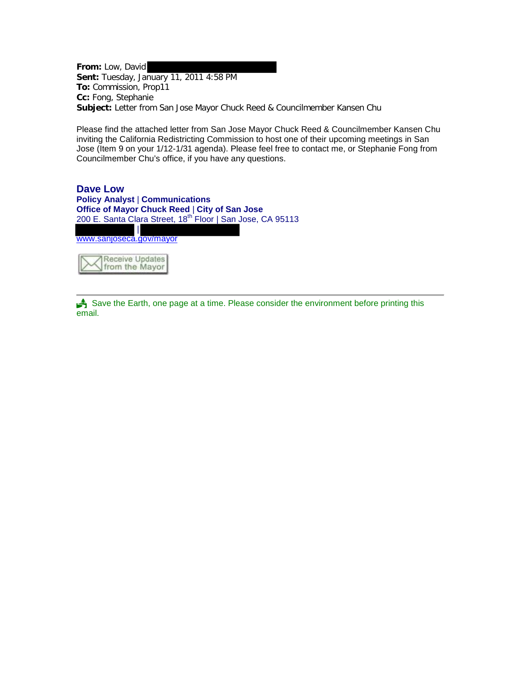**From:** Low, David **Sent:** Tuesday, January 11, 2011 4:58 PM **To:** Commission, Prop11 **Cc:** Fong, Stephanie **Subject:** Letter from San Jose Mayor Chuck Reed & Councilmember Kansen Chu

Please find the attached letter from San Jose Mayor Chuck Reed & Councilmember Kansen Chu inviting the California Redistricting Commission to host one of their upcoming meetings in San Jose (Item 9 on your 1/12-1/31 agenda). Please feel free to contact me, or Stephanie Fong from Councilmember Chu's office, if you have any questions.

## **Dave Low Policy Analyst** | **Communications Office of Mayor Chuck Reed** | **City of San Jose** 200 E. Santa Clara Street, 18<sup>th</sup> Floor | San Jose, CA 95113 | www.sanjoseca.gov/mayor Receive Updates from the Mayor.

Save the Earth, one page at a time. Please consider the environment before printing this email.